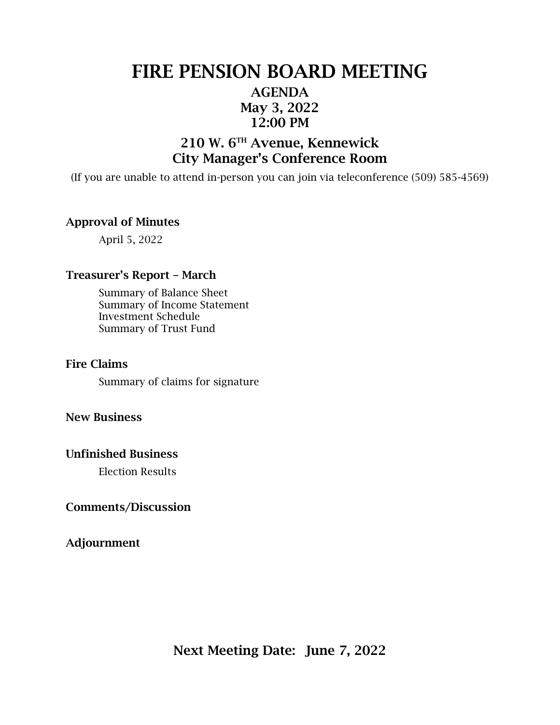## FIRE PENSION BOARD MEETING AGENDA May 3, 2022 12:00 PM

### 210 W. 6TH Avenue, Kennewick City Manager's Conference Room

(If you are unable to attend in-person you can join via teleconference (509) 585-4569)

### Approval of Minutes

April 5, 2022

#### Treasurer's Report – March

Summary of Balance Sheet Summary of Income Statement Investment Schedule Summary of Trust Fund

#### Fire Claims

Summary of claims for signature

### New Business

#### Unfinished Business

Election Results

#### Comments/Discussion

Adjournment

Next Meeting Date: June 7, 2022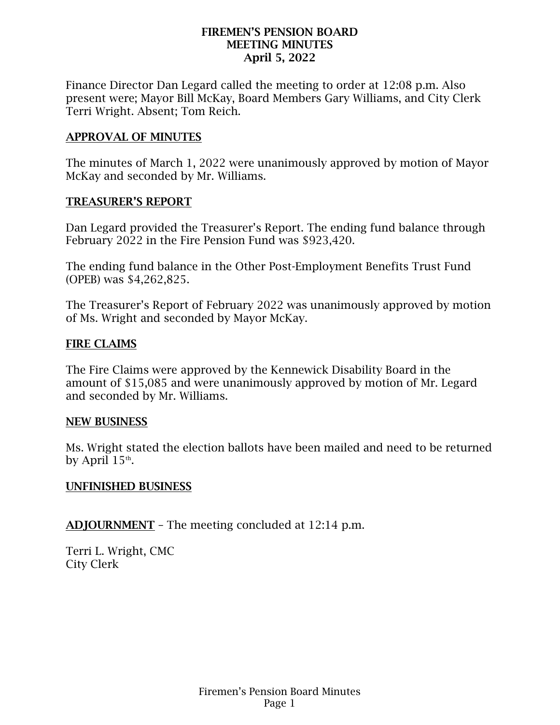### FIREMEN'S PENSION BOARD MEETING MINUTES April 5, 2022

Finance Director Dan Legard called the meeting to order at 12:08 p.m. Also present were; Mayor Bill McKay, Board Members Gary Williams, and City Clerk Terri Wright. Absent; Tom Reich.

### APPROVAL OF MINUTES

The minutes of March 1, 2022 were unanimously approved by motion of Mayor McKay and seconded by Mr. Williams.

### TREASURER'S REPORT

Dan Legard provided the Treasurer's Report. The ending fund balance through February 2022 in the Fire Pension Fund was \$923,420.

The ending fund balance in the Other Post-Employment Benefits Trust Fund (OPEB) was \$4,262,825.

The Treasurer's Report of February 2022 was unanimously approved by motion of Ms. Wright and seconded by Mayor McKay.

### FIRE CLAIMS

The Fire Claims were approved by the Kennewick Disability Board in the amount of \$15,085 and were unanimously approved by motion of Mr. Legard and seconded by Mr. Williams.

### NEW BUSINESS

Ms. Wright stated the election ballots have been mailed and need to be returned by April  $15<sup>th</sup>$ .

### UNFINISHED BUSINESS

ADJOURNMENT – The meeting concluded at 12:14 p.m.

Terri L. Wright, CMC City Clerk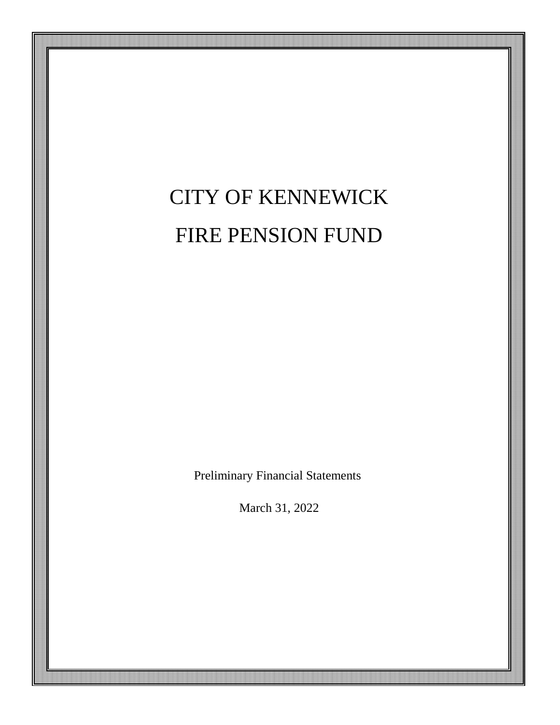# CITY OF KENNEWICK FIRE PENSION FUND

Preliminary Financial Statements

March 31, 2022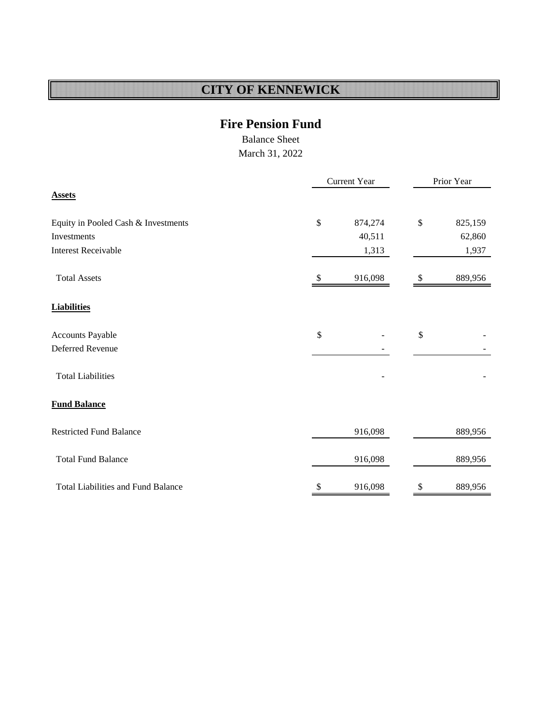### **Fire Pension Fund**

Balance Sheet

March 31, 2022

<span id="page-3-0"></span>

|                                           |               | Current Year | Prior Year   |         |  |  |
|-------------------------------------------|---------------|--------------|--------------|---------|--|--|
| <b>Assets</b>                             |               |              |              |         |  |  |
| Equity in Pooled Cash & Investments       | $\$$          | 874,274      | \$           | 825,159 |  |  |
| Investments                               |               | 40,511       |              | 62,860  |  |  |
| <b>Interest Receivable</b>                |               | 1,313        |              | 1,937   |  |  |
| <b>Total Assets</b>                       | \$            | 916,098      | \$           | 889,956 |  |  |
| <b>Liabilities</b>                        |               |              |              |         |  |  |
| Accounts Payable                          | $\mathcal{S}$ |              | $\mathbb{S}$ |         |  |  |
| Deferred Revenue                          |               |              |              |         |  |  |
| <b>Total Liabilities</b>                  |               |              |              |         |  |  |
| <b>Fund Balance</b>                       |               |              |              |         |  |  |
| <b>Restricted Fund Balance</b>            |               | 916,098      |              | 889,956 |  |  |
| <b>Total Fund Balance</b>                 |               | 916,098      |              | 889,956 |  |  |
| <b>Total Liabilities and Fund Balance</b> | \$            | 916,098      | \$           | 889,956 |  |  |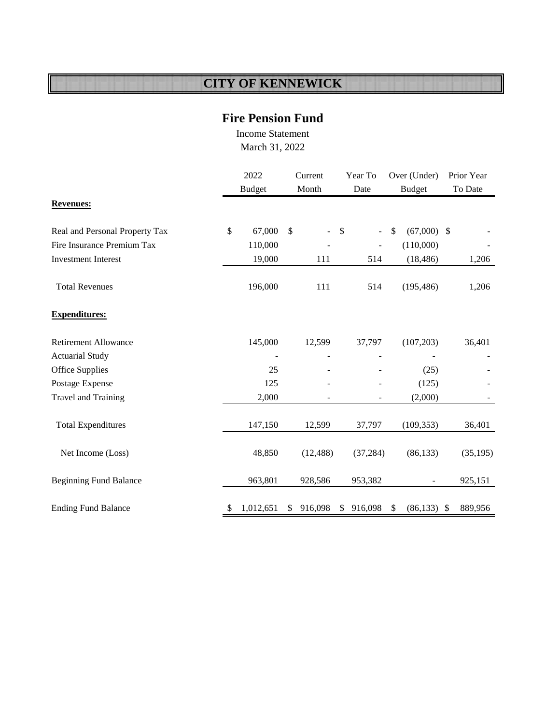### **Fire Pension Fund**

Income Statement March 31, 2022

|                                |               | 2022           |               | Current                  |              | Year To                  | Over (Under)        |     | Prior Year |
|--------------------------------|---------------|----------------|---------------|--------------------------|--------------|--------------------------|---------------------|-----|------------|
|                                |               | <b>Budget</b>  |               | Month                    |              | Date                     | <b>Budget</b>       |     | To Date    |
| <b>Revenues:</b>               |               |                |               |                          |              |                          |                     |     |            |
| Real and Personal Property Tax | \$            | 67,000         | $\mathcal{S}$ | $\overline{\phantom{0}}$ | $\mathbb{S}$ | $\overline{\phantom{0}}$ | \$<br>$(67,000)$ \$ |     |            |
| Fire Insurance Premium Tax     |               | 110,000        |               |                          |              | ÷,                       | (110,000)           |     |            |
| <b>Investment Interest</b>     |               | 19,000         |               | 111                      |              | 514                      | (18, 486)           |     | 1,206      |
| <b>Total Revenues</b>          |               | 196,000        |               | 111                      |              | 514                      | (195, 486)          |     | 1,206      |
| <b>Expenditures:</b>           |               |                |               |                          |              |                          |                     |     |            |
| <b>Retirement Allowance</b>    |               | 145,000        |               | 12,599                   |              | 37,797                   | (107, 203)          |     | 36,401     |
| <b>Actuarial Study</b>         |               | $\overline{a}$ |               |                          |              |                          |                     |     |            |
| <b>Office Supplies</b>         |               | 25             |               |                          |              |                          | (25)                |     |            |
| Postage Expense                |               | 125            |               |                          |              |                          | (125)               |     |            |
| <b>Travel and Training</b>     |               | 2,000          |               |                          |              |                          | (2,000)             |     |            |
| <b>Total Expenditures</b>      |               | 147,150        |               | 12,599                   |              | 37,797                   | (109, 353)          |     | 36,401     |
| Net Income (Loss)              |               | 48,850         |               | (12, 488)                |              | (37, 284)                | (86, 133)           |     | (35, 195)  |
| <b>Beginning Fund Balance</b>  |               | 963,801        |               | 928,586                  |              | 953,382                  |                     |     | 925,151    |
| <b>Ending Fund Balance</b>     | <sup>\$</sup> | 1,012,651      | \$            | 916,098                  | \$           | 916,098                  | \$<br>(86, 133)     | -\$ | 889,956    |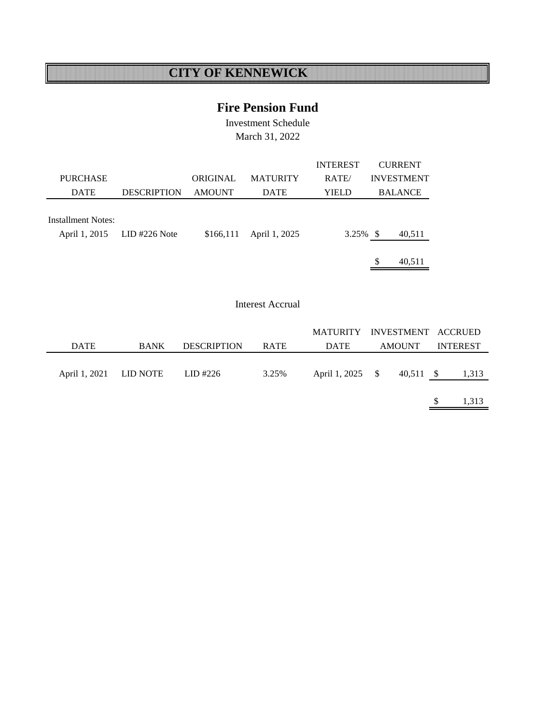### **Fire Pension Fund**

Investment Schedule March 31, 2022

|                                            |                    |               |                 | <b>INTEREST</b> | <b>CURRENT</b>    |
|--------------------------------------------|--------------------|---------------|-----------------|-----------------|-------------------|
| <b>PURCHASE</b>                            |                    | ORIGINAL      | <b>MATURITY</b> | RATE/           | <b>INVESTMENT</b> |
| <b>DATE</b>                                | <b>DESCRIPTION</b> | <b>AMOUNT</b> | <b>DATE</b>     | YIELD           | <b>BALANCE</b>    |
| <b>Installment Notes:</b><br>April 1, 2015 | $LID$ #226 Note    | \$166,111     | April 1, 2025   | $3.25\%$ \$     | 40,511            |
|                                            |                    |               |                 |                 | \$<br>40,511      |

#### Interest Accrual

|                        |             |                    |             | MATURITY INVESTMENT ACCRUED |               |                 |
|------------------------|-------------|--------------------|-------------|-----------------------------|---------------|-----------------|
| <b>DATE</b>            | <b>BANK</b> | <b>DESCRIPTION</b> | <b>RATE</b> | DATE                        | <b>AMOUNT</b> | <b>INTEREST</b> |
|                        |             |                    |             |                             |               |                 |
| April 1, 2021 LID NOTE |             | LID #226           | 3.25%       | April 1, 2025 \$            | $40,511$ \$   | 1,313           |
|                        |             |                    |             |                             |               |                 |
|                        |             |                    |             |                             |               | 1,313           |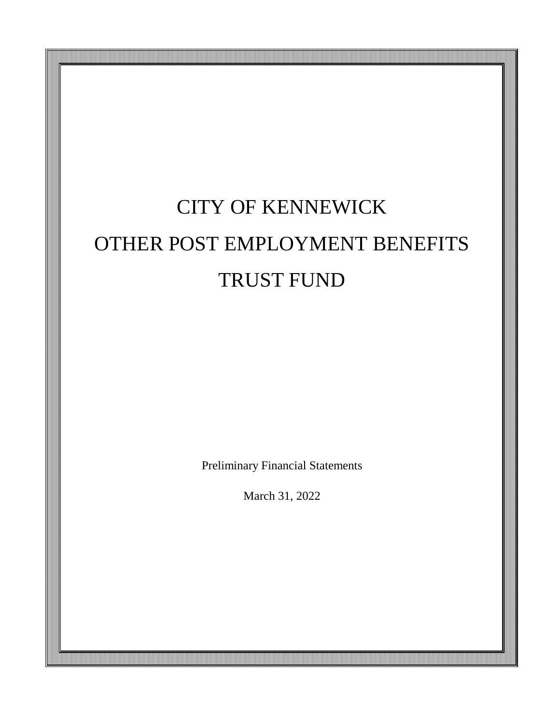# CITY OF KENNEWICK OTHER POST EMPLOYMENT BENEFITS TRUST FUND

Preliminary Financial Statements

March 31, 2022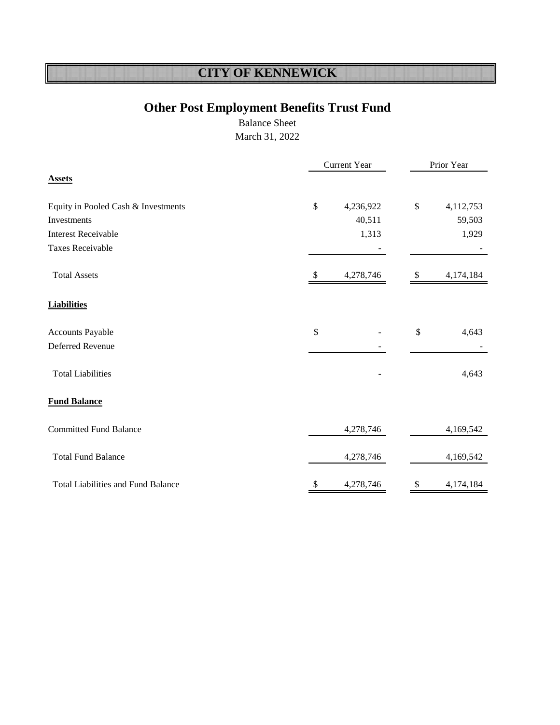## **Other Post Employment Benefits Trust Fund**

Balance Sheet March 31, 2022

|                                           |               | Current Year |      | Prior Year |
|-------------------------------------------|---------------|--------------|------|------------|
| <b>Assets</b>                             |               |              |      |            |
| Equity in Pooled Cash & Investments       | \$            | 4,236,922    | $\$$ | 4,112,753  |
| Investments                               |               | 40,511       |      | 59,503     |
| <b>Interest Receivable</b>                |               | 1,313        |      | 1,929      |
| <b>Taxes Receivable</b>                   |               |              |      |            |
| <b>Total Assets</b>                       | <sup>22</sup> | 4,278,746    | \$   | 4,174,184  |
| <b>Liabilities</b>                        |               |              |      |            |
| Accounts Payable                          | \$            |              | \$   | 4,643      |
| Deferred Revenue                          |               |              |      |            |
| <b>Total Liabilities</b>                  |               |              |      | 4,643      |
| <b>Fund Balance</b>                       |               |              |      |            |
| <b>Committed Fund Balance</b>             |               | 4,278,746    |      | 4,169,542  |
| <b>Total Fund Balance</b>                 |               | 4,278,746    |      | 4,169,542  |
| <b>Total Liabilities and Fund Balance</b> | \$            | 4,278,746    | \$   | 4,174,184  |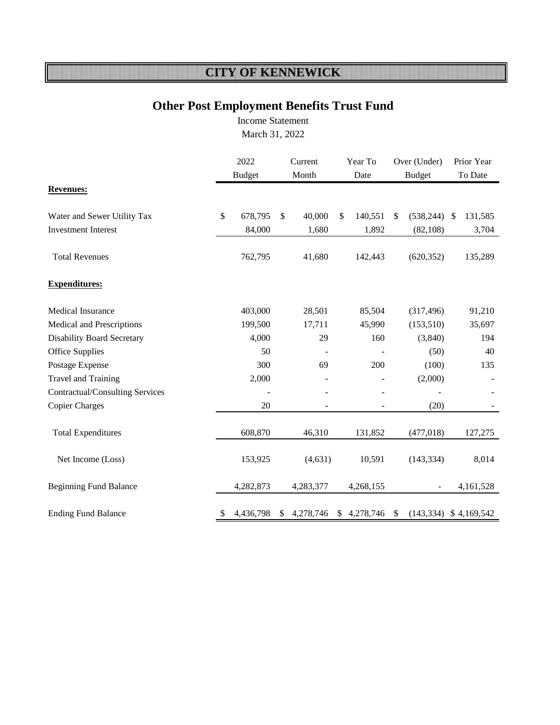### **Other Post Employment Benefits Trust Fund**

Income Statement [March 31, 2022](#page-3-0)

|                                        | 2022<br><b>Budget</b> |           | Current<br>Month | Year To<br>Date |               | Over (Under)<br><b>Budget</b> |               | Prior Year<br>To Date |
|----------------------------------------|-----------------------|-----------|------------------|-----------------|---------------|-------------------------------|---------------|-----------------------|
| <b>Revenues:</b>                       |                       |           |                  |                 |               |                               |               |                       |
| Water and Sewer Utility Tax            | \$                    | 678,795   | \$<br>40,000     | \$<br>140,551   | $\mathbb{S}$  | (538, 244)                    | $\mathcal{S}$ | 131,585               |
| <b>Investment Interest</b>             |                       | 84,000    | 1,680            | 1,892           |               | (82, 108)                     |               | 3,704                 |
| <b>Total Revenues</b>                  |                       | 762,795   | 41,680           | 142,443         |               | (620, 352)                    |               | 135,289               |
| <b>Expenditures:</b>                   |                       |           |                  |                 |               |                               |               |                       |
| <b>Medical Insurance</b>               |                       | 403,000   | 28,501           | 85,504          |               | (317, 496)                    |               | 91,210                |
| Medical and Prescriptions              |                       | 199,500   | 17,711           | 45,990          |               | (153, 510)                    |               | 35,697                |
| <b>Disability Board Secretary</b>      |                       | 4,000     | 29               | 160             |               | (3,840)                       |               | 194                   |
| <b>Office Supplies</b>                 |                       | 50        |                  |                 |               | (50)                          |               | 40                    |
| Postage Expense                        |                       | 300       | 69               | 200             |               | (100)                         |               | 135                   |
| Travel and Training                    |                       | 2,000     |                  |                 |               | (2,000)                       |               |                       |
| <b>Contractual/Consulting Services</b> |                       |           |                  |                 |               |                               |               |                       |
| <b>Copier Charges</b>                  |                       | 20        |                  |                 |               | (20)                          |               |                       |
| <b>Total Expenditures</b>              |                       | 608,870   | 46,310           | 131,852         |               | (477, 018)                    |               | 127,275               |
| Net Income (Loss)                      |                       | 153,925   | (4, 631)         | 10,591          |               | (143, 334)                    |               | 8,014                 |
| <b>Beginning Fund Balance</b>          |                       | 4,282,873 | 4,283,377        | 4,268,155       |               |                               |               | 4,161,528             |
| <b>Ending Fund Balance</b>             | \$                    | 4,436,798 | 4,278,746        | \$4,278,746     | <sup>\$</sup> | (143, 334)                    |               | \$4,169,542           |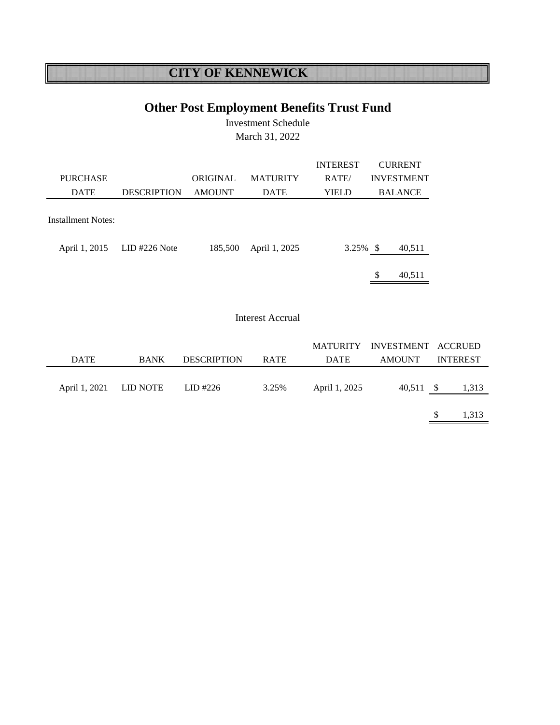## **Other Post Employment Benefits Trust Fund**

Investment Schedule March 31, 2022

|                    |                    |               |                 | <b>INTEREST</b> | <b>CURRENT</b>    |
|--------------------|--------------------|---------------|-----------------|-----------------|-------------------|
| <b>PURCHASE</b>    |                    | ORIGINAL      | <b>MATURITY</b> | RATE/           | <b>INVESTMENT</b> |
| <b>DATE</b>        | <b>DESCRIPTION</b> | <b>AMOUNT</b> | <b>DATE</b>     | <b>YIELD</b>    | <b>BALANCE</b>    |
|                    |                    |               |                 |                 |                   |
| Installment Notes: |                    |               |                 |                 |                   |
|                    |                    |               |                 |                 |                   |
| April 1, 2015      | $LID$ #226 Note    | 185,500       | April 1, 2025   | $3.25\%$ \$     | 40,511            |
|                    |                    |               |                 |                 |                   |
|                    |                    |               |                 |                 | \$<br>40.511      |

 $\overline{\phantom{a}}$ 

#### Interest Accrual

|                        |             |                    |       |               | MATURITY INVESTMENT ACCRUED |     |                 |
|------------------------|-------------|--------------------|-------|---------------|-----------------------------|-----|-----------------|
| <b>DATE</b>            | <b>BANK</b> | <b>DESCRIPTION</b> | RATE  | <b>DATE</b>   | <b>AMOUNT</b>               |     | <b>INTEREST</b> |
|                        |             |                    |       |               |                             |     |                 |
| April 1, 2021 LID NOTE |             | LID #226           | 3.25% | April 1, 2025 | $40,511$ \$                 |     | 1,313           |
|                        |             |                    |       |               |                             |     |                 |
|                        |             |                    |       |               |                             | \$. | 1,313           |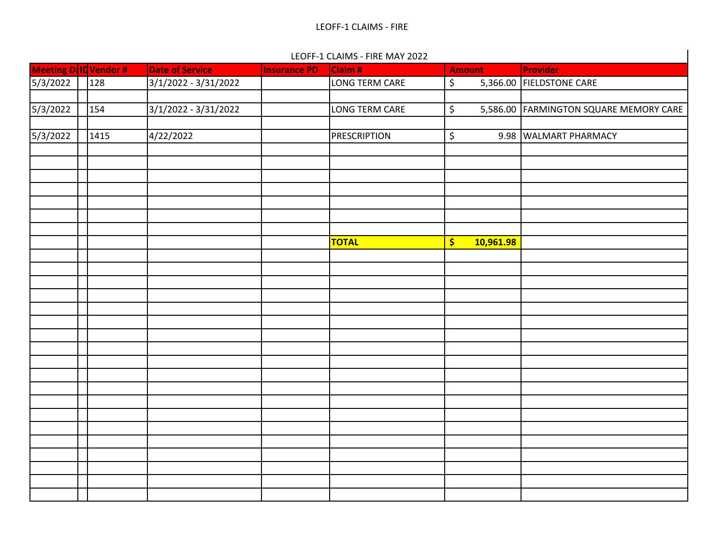#### LEOFF-1 CLAIMS - FIRE MAY 2022

|                   |                       |                        |                     | LEOFF-1 CLAIMS - FIRE MAY 2022 |                                                  |                                        |
|-------------------|-----------------------|------------------------|---------------------|--------------------------------|--------------------------------------------------|----------------------------------------|
|                   | Meeting D ID Vendor # | <b>Date of Service</b> | <b>Insurance PD</b> | Claim #                        | <b>Amount</b>                                    | Provider                               |
| 5/3/2022          | 128                   | 3/1/2022 - 3/31/2022   |                     | LONG TERM CARE                 | $\overline{\xi}$                                 | 5,366.00 FIELDSTONE CARE               |
|                   |                       |                        |                     |                                |                                                  |                                        |
| $\sqrt{5}/3/2022$ | 154                   | $3/1/2022 - 3/31/2022$ |                     | LONG TERM CARE                 | \$                                               | 5,586.00 FARMINGTON SQUARE MEMORY CARE |
|                   |                       |                        |                     |                                |                                                  |                                        |
| 5/3/2022          | 1415                  | 4/22/2022              |                     | <b>PRESCRIPTION</b>            | \$                                               | 9.98 WALMART PHARMACY                  |
|                   |                       |                        |                     |                                |                                                  |                                        |
|                   |                       |                        |                     |                                |                                                  |                                        |
|                   |                       |                        |                     |                                |                                                  |                                        |
|                   |                       |                        |                     |                                |                                                  |                                        |
|                   |                       |                        |                     |                                |                                                  |                                        |
|                   |                       |                        |                     |                                |                                                  |                                        |
|                   |                       |                        |                     |                                |                                                  |                                        |
|                   |                       |                        |                     | <b>TOTAL</b>                   | $\left  \boldsymbol{\zeta} \right $<br>10,961.98 |                                        |
|                   |                       |                        |                     |                                |                                                  |                                        |
|                   |                       |                        |                     |                                |                                                  |                                        |
|                   |                       |                        |                     |                                |                                                  |                                        |
|                   |                       |                        |                     |                                |                                                  |                                        |
|                   |                       |                        |                     |                                |                                                  |                                        |
|                   |                       |                        |                     |                                |                                                  |                                        |
|                   |                       |                        |                     |                                |                                                  |                                        |
|                   |                       |                        |                     |                                |                                                  |                                        |
|                   |                       |                        |                     |                                |                                                  |                                        |
|                   |                       |                        |                     |                                |                                                  |                                        |
|                   |                       |                        |                     |                                |                                                  |                                        |
|                   |                       |                        |                     |                                |                                                  |                                        |
|                   |                       |                        |                     |                                |                                                  |                                        |
|                   |                       |                        |                     |                                |                                                  |                                        |
|                   |                       |                        |                     |                                |                                                  |                                        |
|                   |                       |                        |                     |                                |                                                  |                                        |
|                   |                       |                        |                     |                                |                                                  |                                        |
|                   |                       |                        |                     |                                |                                                  |                                        |